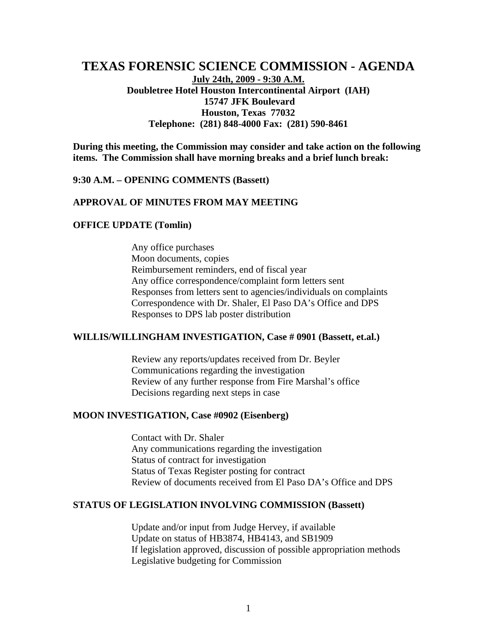# **TEXAS FORENSIC SCIENCE COMMISSION - AGENDA July 24th, 2009 - 9:30 A.M. Doubletree Hotel Houston Intercontinental Airport (IAH) 15747 JFK Boulevard Houston, Texas 77032 Telephone: (281) 848-4000 Fax: (281) 590-8461**

**During this meeting, the Commission may consider and take action on the following items. The Commission shall have morning breaks and a brief lunch break:** 

#### **9:30 A.M. – OPENING COMMENTS (Bassett)**

### **APPROVAL OF MINUTES FROM MAY MEETING**

#### **OFFICE UPDATE (Tomlin)**

Any office purchases Moon documents, copies Reimbursement reminders, end of fiscal year Any office correspondence/complaint form letters sent Responses from letters sent to agencies/individuals on complaints Correspondence with Dr. Shaler, El Paso DA's Office and DPS Responses to DPS lab poster distribution

#### **WILLIS/WILLINGHAM INVESTIGATION, Case # 0901 (Bassett, et.al.)**

Review any reports/updates received from Dr. Beyler Communications regarding the investigation Review of any further response from Fire Marshal's office Decisions regarding next steps in case

### **MOON INVESTIGATION, Case #0902 (Eisenberg)**

Contact with Dr. Shaler Any communications regarding the investigation Status of contract for investigation Status of Texas Register posting for contract Review of documents received from El Paso DA's Office and DPS

### **STATUS OF LEGISLATION INVOLVING COMMISSION (Bassett)**

Update and/or input from Judge Hervey, if available Update on status of HB3874, HB4143, and SB1909 If legislation approved, discussion of possible appropriation methods Legislative budgeting for Commission